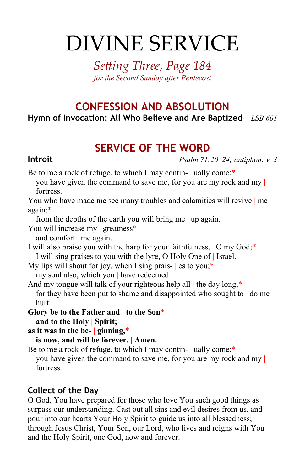# DIVINE SERVICE

*Setting Three, Page 184 for the Second Sunday after Pentecost*

# **CONFESSION AND ABSOLUTION Hymn of Invocation: All Who Believe and Are Baptized** *LSB 601*

# **SERVICE OF THE WORD**

**Introit** *Psalm 71:20–24; antiphon: v. 3*

Be to me a rock of refuge, to which I may contin- | ually come;\*

you have given the command to save me, for you are my rock and my | fortress.

You who have made me see many troubles and calamities will revive | me again;\*

from the depths of the earth you will bring me | up again.

You will increase my greatness<sup>\*</sup> and comfort | me again.

I will also praise you with the harp for your faithfulness, | O my God;\* I will sing praises to you with the lyre, O Holy One of | Israel.

My lips will shout for joy, when I sing prais-  $|e$  is to you;<sup>\*</sup> my soul also, which you | have redeemed.

And my tongue will talk of your righteous help all the day long,\* for they have been put to shame and disappointed who sought to  $\vert$  do me hurt.

**Glory be to the Father and | to the Son**\* **and to the Holy | Spirit;**

**as it was in the be- | ginning,**\*

**is now, and will be forever. | Amen.**

Be to me a rock of refuge, to which I may contin- | ually come;\* you have given the command to save me, for you are my rock and my | fortress.

### **Collect of the Day**

O God, You have prepared for those who love You such good things as surpass our understanding. Cast out all sins and evil desires from us, and pour into our hearts Your Holy Spirit to guide us into all blessedness; through Jesus Christ, Your Son, our Lord, who lives and reigns with You and the Holy Spirit, one God, now and forever.